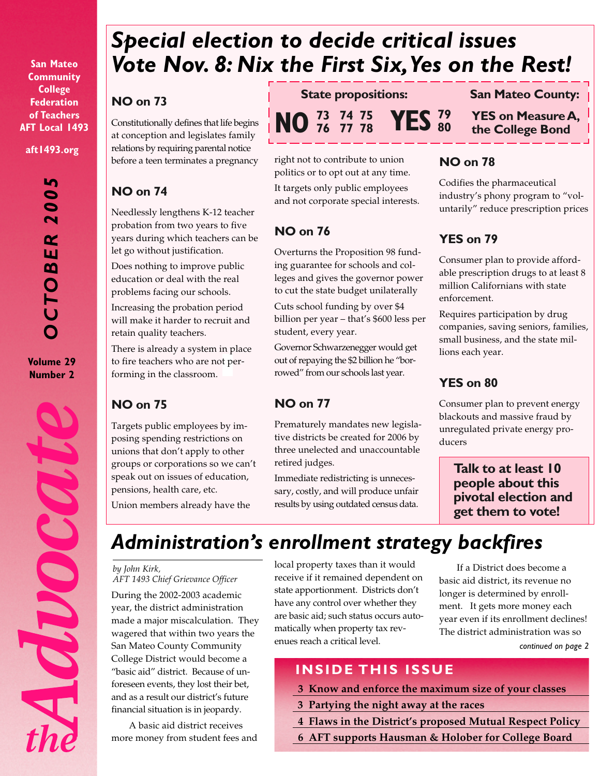**San Mateo Community College Federation of Teachers AFT Local 1493**

**aft1493.org**

<u>Ln</u> *OCTOBER 2005*  $\bullet$  $\overline{\bullet}$  $\overline{\mathbf{N}}$  $\alpha$ W  $\boldsymbol{\omega}$ PO  $\dot{\textbf{U}}$ 

**Volume 29 Number 2**



# *Special election to decide critical issues Vote Nov. 8: Nix the First Six, Yes on the Rest!*

### **NO on 73**

Constitutionally defines that life begins at conception and legislates family relations by requiring parental notice before a teen terminates a pregnancy

## **NO on 74**

Needlessly lengthens K-12 teacher probation from two years to five years during which teachers can be let go without justification.

Does nothing to improve public education or deal with the real problems facing our schools.

Increasing the probation period will make it harder to recruit and retain quality teachers.

There is already a system in place to fire teachers who are not performing in the classroom.

## **NO on 75**

Targets public employees by imposing spending restrictions on unions that don't apply to other groups or corporations so we can't speak out on issues of education, pensions, health care, etc.

Union members already have the

**State propositions:**

 **76 77 78 YES <sup>79</sup> 80**

**San Mateo County:**

**YES on Measure A, the College Bond**

right not to contribute to union politics or to opt out at any time. It targets only public employees and not corporate special interests.

**NO 73 74 75**

# **NO on 76**

Overturns the Proposition 98 funding guarantee for schools and colleges and gives the governor power to cut the state budget unilaterally

Cuts school funding by over \$4 billion per year – that's \$600 less per student, every year.

Governor Schwarzenegger would get out of repaying the \$2 billion he "borrowed" from our schools last year.

# **NO on 77**

Prematurely mandates new legislative districts be created for 2006 by three unelected and unaccountable retired judges.

Immediate redistricting is unnecessary, costly, and will produce unfair results by using outdated census data.

## **NO on 78**

Codifies the pharmaceutical industry's phony program to "voluntarily" reduce prescription prices

## **YES on 79**

Consumer plan to provide affordable prescription drugs to at least 8 million Californians with state enforcement.

Requires participation by drug companies, saving seniors, families, small business, and the state millions each year.

## **YES on 80**

Consumer plan to prevent energy blackouts and massive fraud by unregulated private energy producers

**Talk to at least 10 people about this pivotal election and get them to vote!**

# *Administration's enrollment strategy backfires*

#### *by John Kirk,*

*AFT 1493 Chief Grievance Officer*

During the 2002-2003 academic year, the district administration made a major miscalculation. They wagered that within two years the San Mateo County Community College District would become a "basic aid" district. Because of unforeseen events, they lost their bet, and as a result our district's future financial situation is in jeopardy.

A basic aid district receives more money from student fees and local property taxes than it would receive if it remained dependent on state apportionment. Districts don't have any control over whether they are basic aid; such status occurs automatically when property tax revenues reach a critical level.

If a District does become a basic aid district, its revenue no longer is determined by enrollment. It gets more money each year even if its enrollment declines! The district administration was so *continued on page 2*

# **INSIDE THIS ISSUE**

- **3 Know and enforce the maximum size of your classes**
- **3 Partying the night away at the races**
- **4 Flaws in the District's proposed Mutual Respect Policy**
- **6 AFT supports Hausman & Holober for College Board**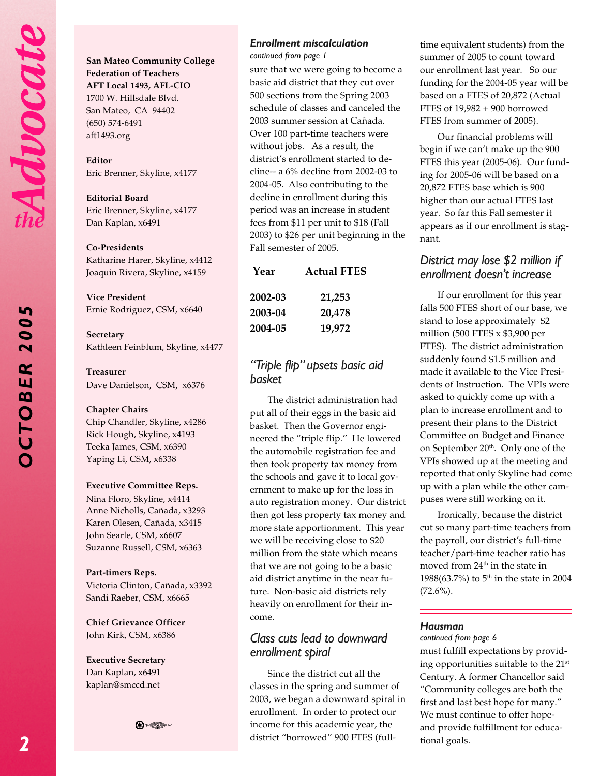*OCTOBER 2005*

OCTO

**BER** 

200

**San Mateo Community College Federation of Teachers AFT Local 1493, AFL-CIO** 1700 W. Hillsdale Blvd. San Mateo, CA 94402 (650) 574-6491

**Editor** Eric Brenner, Skyline, x4177

**Editorial Board** Eric Brenner, Skyline, x4177 Dan Kaplan, x6491

#### **Co-Presidents**

aft1493.org

Katharine Harer, Skyline, x4412 Joaquin Rivera, Skyline, x4159

**Vice President** Ernie Rodriguez, CSM, x6640

**Secretary** Kathleen Feinblum, Skyline, x4477

#### **Treasurer**

Dave Danielson, CSM, x6376

#### **Chapter Chairs**

Chip Chandler, Skyline, x4286 Rick Hough, Skyline, x4193 Teeka James, CSM, x6390 Yaping Li, CSM, x6338

#### **Executive Committee Reps.**

Nina Floro, Skyline, x4414 Anne Nicholls, Cañada, x3293 Karen Olesen, Cañada, x3415 John Searle, CSM, x6607 Suzanne Russell, CSM, x6363

**Part-timers Reps.**

Victoria Clinton, Cañada, x3392 Sandi Raeber, CSM, x6665

**Chief Grievance Officer** John Kirk, CSM, x6386

**Executive Secretary** Dan Kaplan, x6491 kaplan@smccd.net

**⊕∗** ∰

#### *Enrollment miscalculation*

*continued from page 1*

sure that we were going to become a basic aid district that they cut over 500 sections from the Spring 2003 schedule of classes and canceled the 2003 summer session at Cañada. Over 100 part-time teachers were without jobs. As a result, the district's enrollment started to decline-- a 6% decline from 2002-03 to 2004-05. Also contributing to the decline in enrollment during this period was an increase in student fees from \$11 per unit to \$18 (Fall 2003) to \$26 per unit beginning in the Fall semester of 2005.

| Year    | <b>Actual FTES</b> |
|---------|--------------------|
| 2002-03 | 21,253             |
| 2003-04 | 20,478             |
| 2004-05 | 19,972             |

#### *"Triple flip" upsets basic aid basket*

The district administration had put all of their eggs in the basic aid basket. Then the Governor engineered the "triple flip." He lowered the automobile registration fee and then took property tax money from the schools and gave it to local government to make up for the loss in auto registration money. Our district then got less property tax money and more state apportionment. This year we will be receiving close to \$20 million from the state which means that we are not going to be a basic aid district anytime in the near future. Non-basic aid districts rely heavily on enrollment for their income.

#### *Class cuts lead to downward enrollment spiral*

Since the district cut all the classes in the spring and summer of 2003, we began a downward spiral in enrollment. In order to protect our income for this academic year, the district "borrowed" 900 FTES (fulltime equivalent students) from the summer of 2005 to count toward our enrollment last year. So our funding for the 2004-05 year will be based on a FTES of 20,872 (Actual FTES of 19,982 + 900 borrowed FTES from summer of 2005).

Our financial problems will begin if we can't make up the 900 FTES this year (2005-06). Our funding for 2005-06 will be based on a 20,872 FTES base which is 900 higher than our actual FTES last year. So far this Fall semester it appears as if our enrollment is stagnant.

#### *District may lose \$2 million if enrollment doesn't increase*

If our enrollment for this year falls 500 FTES short of our base, we stand to lose approximately \$2 million (500 FTES x \$3,900 per FTES). The district administration suddenly found \$1.5 million and made it available to the Vice Presidents of Instruction. The VPIs were asked to quickly come up with a plan to increase enrollment and to present their plans to the District Committee on Budget and Finance on September 20<sup>th</sup>. Only one of the VPIs showed up at the meeting and reported that only Skyline had come up with a plan while the other campuses were still working on it.

Ironically, because the district cut so many part-time teachers from the payroll, our district's full-time teacher/part-time teacher ratio has moved from 24<sup>th</sup> in the state in 1988(63.7%) to 5<sup>th</sup> in the state in 2004  $(72.6\%)$ .

#### *Hausman*

#### *continued from page 6*

must fulfill expectations by providing opportunities suitable to the 21st Century. A former Chancellor said "Community colleges are both the first and last best hope for many." We must continue to offer hopeand provide fulfillment for educational goals.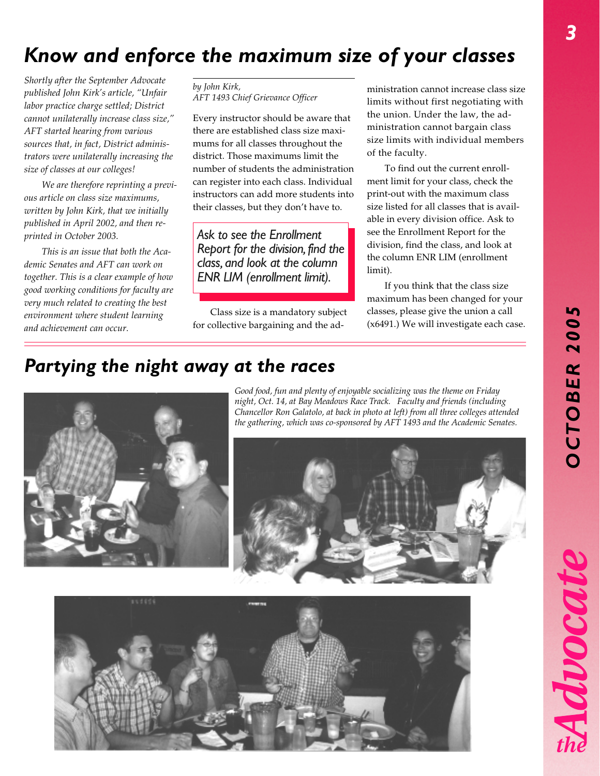# *OCTOBER 2005* **DCTOBER 200**

Advocat

# *Know and enforce the maximum size of your classes*

*Shortly after the September Advocate published John Kirk's article, "Unfair labor practice charge settled; District cannot unilaterally increase class size," AFT started hearing from various sources that, in fact, District administrators were unilaterally increasing the size of classes at our colleges!*

*We are therefore reprinting a previous article on class size maximums, written by John Kirk, that we initially published in April 2002, and then reprinted in October 2003.*

*This is an issue that both the Academic Senates and AFT can work on together. This is a clear example of how good working conditions for faculty are very much related to creating the best environment where student learning and achievement can occur.*

*by John Kirk, AFT 1493 Chief Grievance Officer*

Every instructor should be aware that there are established class size maximums for all classes throughout the district. Those maximums limit the number of students the administration can register into each class. Individual instructors can add more students into their classes, but they don't have to.

*Ask to see the Enrollment Report for the division, find the class, and look at the column ENR LIM (enrollment limit).*

Class size is a mandatory subject for collective bargaining and the ad-

ministration cannot increase class size limits without first negotiating with the union. Under the law, the administration cannot bargain class size limits with individual members of the faculty.

To find out the current enrollment limit for your class, check the print-out with the maximum class size listed for all classes that is available in every division office. Ask to see the Enrollment Report for the division, find the class, and look at the column ENR LIM (enrollment limit).

If you think that the class size maximum has been changed for your classes, please give the union a call (x6491.) We will investigate each case.

# *Partying the night away at the races*



*Good food, fun and plenty of enjoyable socializing was the theme on Friday night, Oct. 14, at Bay Meadows Race Track. Faculty and friends (including Chancellor Ron Galatolo, at back in photo at left) from all three colleges attended the gathering, which was co-sponsored by AFT 1493 and the Academic Senates.*



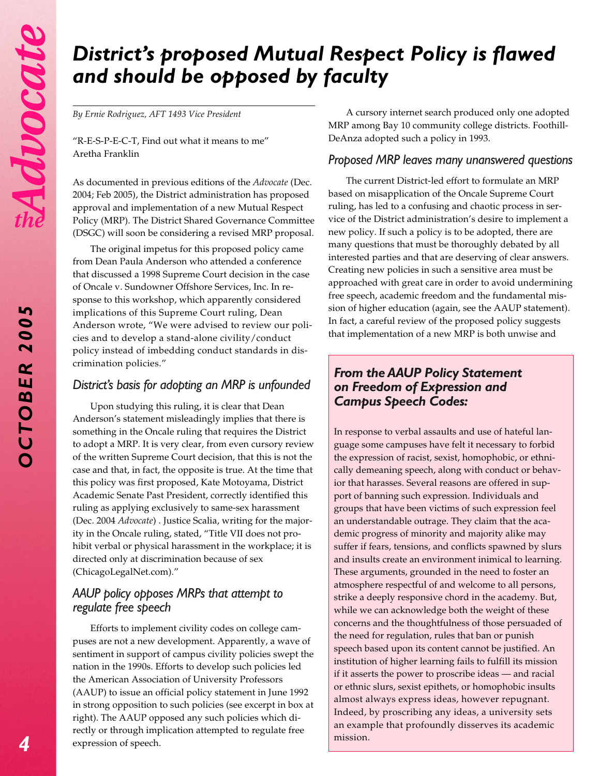*OCTOBER 2005*

OCTOBER

5

200

# *District's proposed Mutual Respect Policy is flawed and should be opposed by faculty*

*By Ernie Rodriguez, AFT 1493 Vice President*

"R-E-S-P-E-C-T, Find out what it means to me" Aretha Franklin

As documented in previous editions of the *Advocate* (Dec. 2004; Feb 2005), the District administration has proposed approval and implementation of a new Mutual Respect Policy (MRP). The District Shared Governance Committee (DSGC) will soon be considering a revised MRP proposal.

The original impetus for this proposed policy came from Dean Paula Anderson who attended a conference that discussed a 1998 Supreme Court decision in the case of Oncale v. Sundowner Offshore Services, Inc. In response to this workshop, which apparently considered implications of this Supreme Court ruling, Dean Anderson wrote, "We were advised to review our policies and to develop a stand-alone civility/conduct policy instead of imbedding conduct standards in discrimination policies."

#### *District's basis for adopting an MRP is unfounded*

Upon studying this ruling, it is clear that Dean Anderson's statement misleadingly implies that there is something in the Oncale ruling that requires the District to adopt a MRP. It is very clear, from even cursory review of the written Supreme Court decision, that this is not the case and that, in fact, the opposite is true. At the time that this policy was first proposed, Kate Motoyama, District Academic Senate Past President, correctly identified this ruling as applying exclusively to same-sex harassment (Dec. 2004 *Advocate*) . Justice Scalia, writing for the majority in the Oncale ruling, stated, "Title VII does not prohibit verbal or physical harassment in the workplace; it is directed only at discrimination because of sex (ChicagoLegalNet.com)."

#### *AAUP policy opposes MRPs that attempt to regulate free speech*

Efforts to implement civility codes on college campuses are not a new development. Apparently, a wave of sentiment in support of campus civility policies swept the nation in the 1990s. Efforts to develop such policies led the American Association of University Professors (AAUP) to issue an official policy statement in June 1992 in strong opposition to such policies (see excerpt in box at right). The AAUP opposed any such policies which directly or through implication attempted to regulate free expression of speech.

A cursory internet search produced only one adopted MRP among Bay 10 community college districts. Foothill-DeAnza adopted such a policy in 1993.

#### *Proposed MRP leaves many unanswered questions*

The current District-led effort to formulate an MRP based on misapplication of the Oncale Supreme Court ruling, has led to a confusing and chaotic process in service of the District administration's desire to implement a new policy. If such a policy is to be adopted, there are many questions that must be thoroughly debated by all interested parties and that are deserving of clear answers. Creating new policies in such a sensitive area must be approached with great care in order to avoid undermining free speech, academic freedom and the fundamental mission of higher education (again, see the AAUP statement). In fact, a careful review of the proposed policy suggests that implementation of a new MRP is both unwise and

#### *From the AAUP Policy Statement on Freedom of Expression and Campus Speech Codes:*

In response to verbal assaults and use of hateful language some campuses have felt it necessary to forbid the expression of racist, sexist, homophobic, or ethnically demeaning speech, along with conduct or behavior that harasses. Several reasons are offered in support of banning such expression. Individuals and groups that have been victims of such expression feel an understandable outrage. They claim that the academic progress of minority and majority alike may suffer if fears, tensions, and conflicts spawned by slurs and insults create an environment inimical to learning. These arguments, grounded in the need to foster an atmosphere respectful of and welcome to all persons, strike a deeply responsive chord in the academy. But, while we can acknowledge both the weight of these concerns and the thoughtfulness of those persuaded of the need for regulation, rules that ban or punish speech based upon its content cannot be justified. An institution of higher learning fails to fulfill its mission if it asserts the power to proscribe ideas — and racial or ethnic slurs, sexist epithets, or homophobic insults almost always express ideas, however repugnant. Indeed, by proscribing any ideas, a university sets an example that profoundly disserves its academic mission.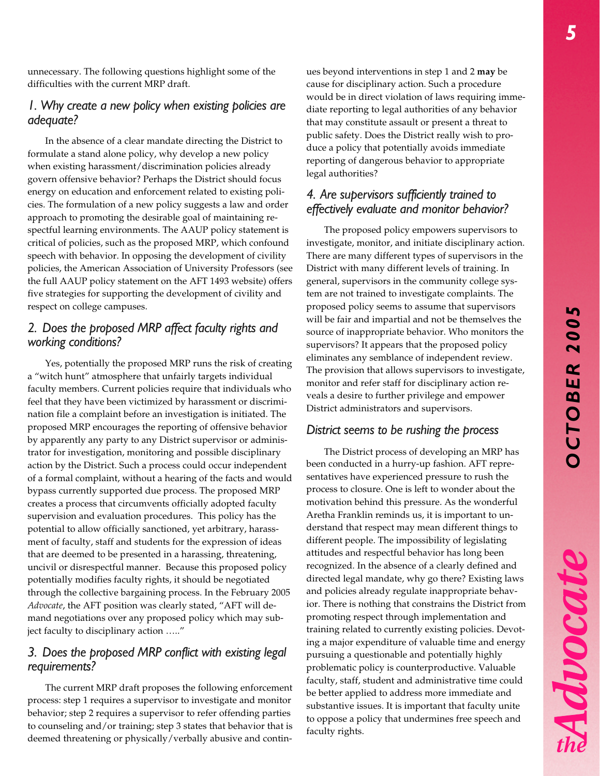Advocate

unnecessary. The following questions highlight some of the difficulties with the current MRP draft.

#### *1. Why create a new policy when existing policies are adequate?*

In the absence of a clear mandate directing the District to formulate a stand alone policy, why develop a new policy when existing harassment/discrimination policies already govern offensive behavior? Perhaps the District should focus energy on education and enforcement related to existing policies. The formulation of a new policy suggests a law and order approach to promoting the desirable goal of maintaining respectful learning environments. The AAUP policy statement is critical of policies, such as the proposed MRP, which confound speech with behavior. In opposing the development of civility policies, the American Association of University Professors (see the full AAUP policy statement on the AFT 1493 website) offers five strategies for supporting the development of civility and respect on college campuses.

#### *2. Does the proposed MRP affect faculty rights and working conditions?*

Yes, potentially the proposed MRP runs the risk of creating a "witch hunt" atmosphere that unfairly targets individual faculty members. Current policies require that individuals who feel that they have been victimized by harassment or discrimination file a complaint before an investigation is initiated. The proposed MRP encourages the reporting of offensive behavior by apparently any party to any District supervisor or administrator for investigation, monitoring and possible disciplinary action by the District. Such a process could occur independent of a formal complaint, without a hearing of the facts and would bypass currently supported due process. The proposed MRP creates a process that circumvents officially adopted faculty supervision and evaluation procedures. This policy has the potential to allow officially sanctioned, yet arbitrary, harassment of faculty, staff and students for the expression of ideas that are deemed to be presented in a harassing, threatening, uncivil or disrespectful manner. Because this proposed policy potentially modifies faculty rights, it should be negotiated through the collective bargaining process. In the February 2005 *Advocate*, the AFT position was clearly stated, "AFT will demand negotiations over any proposed policy which may subject faculty to disciplinary action ….."

#### *3. Does the proposed MRP conflict with existing legal requirements?*

The current MRP draft proposes the following enforcement process: step 1 requires a supervisor to investigate and monitor behavior; step 2 requires a supervisor to refer offending parties to counseling and/or training; step 3 states that behavior that is deemed threatening or physically/verbally abusive and continues beyond interventions in step 1 and 2 **may** be cause for disciplinary action. Such a procedure would be in direct violation of laws requiring immediate reporting to legal authorities of any behavior that may constitute assault or present a threat to public safety. Does the District really wish to produce a policy that potentially avoids immediate reporting of dangerous behavior to appropriate legal authorities?

#### *4. Are supervisors sufficiently trained to effectively evaluate and monitor behavior?*

The proposed policy empowers supervisors to investigate, monitor, and initiate disciplinary action. There are many different types of supervisors in the District with many different levels of training. In general, supervisors in the community college system are not trained to investigate complaints. The proposed policy seems to assume that supervisors will be fair and impartial and not be themselves the source of inappropriate behavior. Who monitors the supervisors? It appears that the proposed policy eliminates any semblance of independent review. The provision that allows supervisors to investigate, monitor and refer staff for disciplinary action reveals a desire to further privilege and empower District administrators and supervisors.

#### *District seems to be rushing the process*

The District process of developing an MRP has been conducted in a hurry-up fashion. AFT representatives have experienced pressure to rush the process to closure. One is left to wonder about the motivation behind this pressure. As the wonderful Aretha Franklin reminds us, it is important to understand that respect may mean different things to different people. The impossibility of legislating attitudes and respectful behavior has long been recognized. In the absence of a clearly defined and directed legal mandate, why go there? Existing laws and policies already regulate inappropriate behavior. There is nothing that constrains the District from promoting respect through implementation and training related to currently existing policies. Devoting a major expenditure of valuable time and energy pursuing a questionable and potentially highly problematic policy is counterproductive. Valuable faculty, staff, student and administrative time could be better applied to address more immediate and substantive issues. It is important that faculty unite to oppose a policy that undermines free speech and faculty rights.